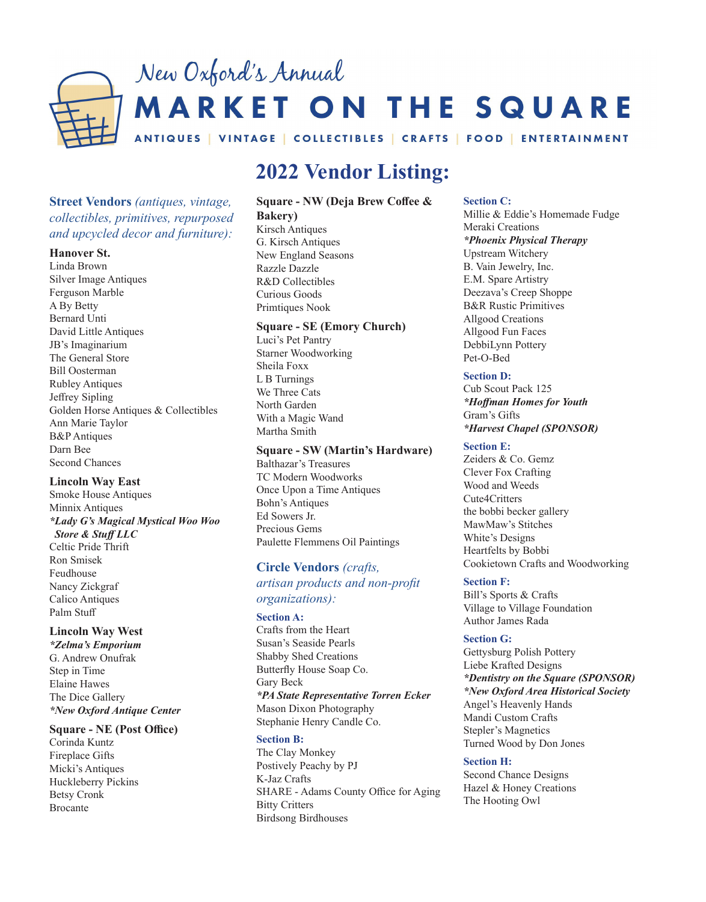

# **2022 Vendor Listing:**

# **Street Vendors** *(antiques, vintage, collectibles, primitives, repurposed and upcycled decor and furniture):*

#### **Hanover St.**

Linda Brown Silver Image Antiques Ferguson Marble A By Betty Bernard Unti David Little Antiques JB's Imaginarium The General Store Bill Oosterman Rubley Antiques Jeffrey Sipling Golden Horse Antiques & Collectibles Ann Marie Taylor B&P Antiques Darn Bee Second Chances

## **Lincoln Way East**

Smoke House Antiques Minnix Antiques *\*Lady G's Magical Mystical Woo Woo Store & Stuff LLC*

Celtic Pride Thrift Ron Smisek Feudhouse Nancy Zickgraf Calico Antiques Palm Stuff

## **Lincoln Way West**

*\*Zelma's Emporium* G. Andrew Onufrak Step in Time Elaine Hawes The Dice Gallery *\*New Oxford Antique Center*

#### **Square - NE (Post Office)**

Corinda Kuntz Fireplace Gifts Micki's Antiques Huckleberry Pickins Betsy Cronk Brocante

# **Square - NW (Deja Brew Coffee &**

**Bakery)** Kirsch Antiques G. Kirsch Antiques New England Seasons Razzle Dazzle R&D Collectibles Curious Goods Primtiques Nook

## **Square - SE (Emory Church)**

Luci's Pet Pantry Starner Woodworking Sheila Foxx L B Turnings We Three Cats North Garden With a Magic Wand Martha Smith

## **Square - SW (Martin's Hardware)**

Balthazar's Treasures TC Modern Woodworks Once Upon a Time Antiques Bohn's Antiques Ed Sowers Jr. Precious Gems Paulette Flemmens Oil Paintings

## **Circle Vendors** *(crafts,*

## *artisan products and non-profit organizations):*

## **Section A:**

Crafts from the Heart Susan's Seaside Pearls Shabby Shed Creations Butterfly House Soap Co. Gary Beck *\*PA State Representative Torren Ecker* Mason Dixon Photography Stephanie Henry Candle Co.

## **Section B:**

The Clay Monkey Postively Peachy by PJ K-Jaz Crafts SHARE - Adams County Office for Aging Bitty Critters Birdsong Birdhouses

#### **Section C:**

Millie & Eddie's Homemade Fudge Meraki Creations *\*Phoenix Physical Therapy* Upstream Witchery B. Vain Jewelry, Inc. E.M. Spare Artistry Deezava's Creep Shoppe B&R Rustic Primitives Allgood Creations Allgood Fun Faces DebbiLynn Pottery Pet-O-Bed

#### **Section D:**

Cub Scout Pack 125 *\*Hoffman Homes for Youth* Gram's Gifts *\*Harvest Chapel (SPONSOR)*

#### **Section E:**

Zeiders & Co. Gemz Clever Fox Crafting Wood and Weeds Cute4Critters the bobbi becker gallery MawMaw's Stitches White's Designs Heartfelts by Bobbi Cookietown Crafts and Woodworking

## **Section F:**

Bill's Sports & Crafts Village to Village Foundation Author James Rada

## **Section G:**

Gettysburg Polish Pottery Liebe Krafted Designs *\*Dentistry on the Square (SPONSOR) \*New Oxford Area Historical Society* Angel's Heavenly Hands Mandi Custom Crafts Stepler's Magnetics Turned Wood by Don Jones

#### **Section H:**

Second Chance Designs Hazel & Honey Creations The Hooting Owl